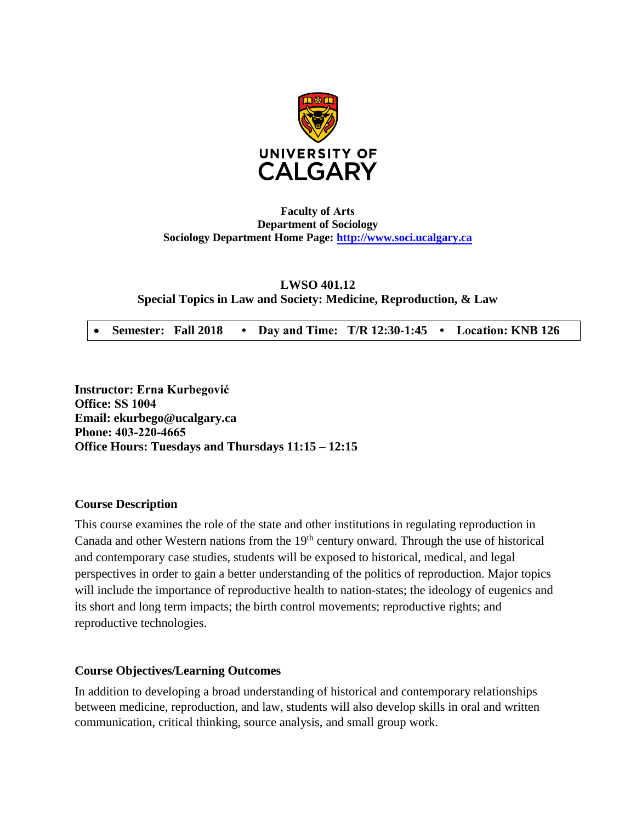

# **Faculty of Arts Department of Sociology Sociology Department Home Page: [http://www.soci.ucalgary.ca](http://www.soci.ucalgary.ca/)**

# **LWSO 401.12 Special Topics in Law and Society: Medicine, Reproduction, & Law**

**Semester: Fall 2018 • Day and Time: T/R 12:30-1:45 • Location: KNB 126**

**Instructor: Erna Kurbegović Office: SS 1004 Email: ekurbego@ucalgary.ca Phone: 403-220-4665 Office Hours: Tuesdays and Thursdays 11:15 – 12:15** 

## **Course Description**

This course examines the role of the state and other institutions in regulating reproduction in Canada and other Western nations from the  $19<sup>th</sup>$  century onward. Through the use of historical and contemporary case studies, students will be exposed to historical, medical, and legal perspectives in order to gain a better understanding of the politics of reproduction. Major topics will include the importance of reproductive health to nation-states; the ideology of eugenics and its short and long term impacts; the birth control movements; reproductive rights; and reproductive technologies.

# **Course Objectives/Learning Outcomes**

In addition to developing a broad understanding of historical and contemporary relationships between medicine, reproduction, and law, students will also develop skills in oral and written communication, critical thinking, source analysis, and small group work.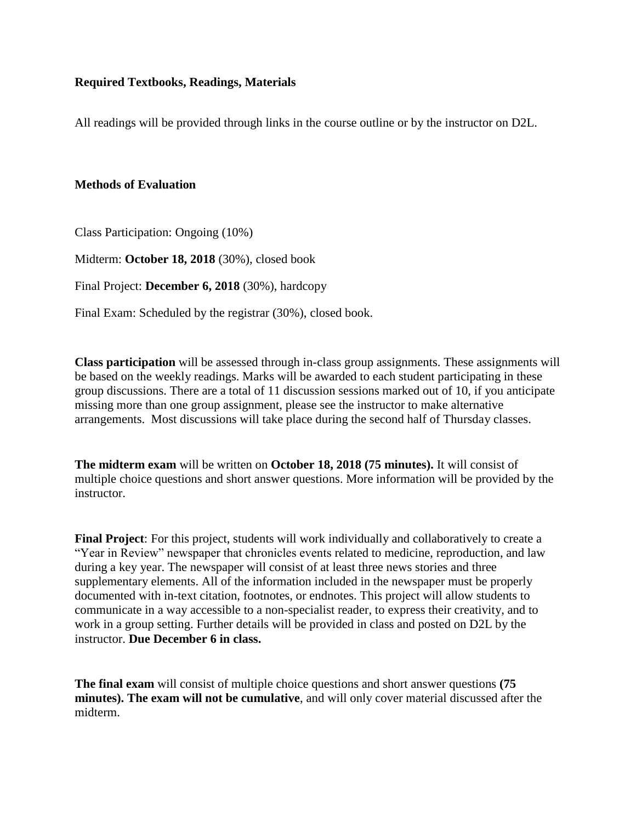# **Required Textbooks, Readings, Materials**

All readings will be provided through links in the course outline or by the instructor on D2L.

## **Methods of Evaluation**

Class Participation: Ongoing (10%)

Midterm: **October 18, 2018** (30%), closed book

Final Project: **December 6, 2018** (30%), hardcopy

Final Exam: Scheduled by the registrar (30%), closed book.

**Class participation** will be assessed through in-class group assignments. These assignments will be based on the weekly readings. Marks will be awarded to each student participating in these group discussions. There are a total of 11 discussion sessions marked out of 10, if you anticipate missing more than one group assignment, please see the instructor to make alternative arrangements. Most discussions will take place during the second half of Thursday classes.

**The midterm exam** will be written on **October 18, 2018 (75 minutes).** It will consist of multiple choice questions and short answer questions. More information will be provided by the instructor.

**Final Project**: For this project, students will work individually and collaboratively to create a "Year in Review" newspaper that chronicles events related to medicine, reproduction, and law during a key year. The newspaper will consist of at least three news stories and three supplementary elements. All of the information included in the newspaper must be properly documented with in-text citation, footnotes, or endnotes. This project will allow students to communicate in a way accessible to a non-specialist reader, to express their creativity, and to work in a group setting. Further details will be provided in class and posted on D2L by the instructor. **Due December 6 in class.**

**The final exam** will consist of multiple choice questions and short answer questions **(75 minutes). The exam will not be cumulative**, and will only cover material discussed after the midterm.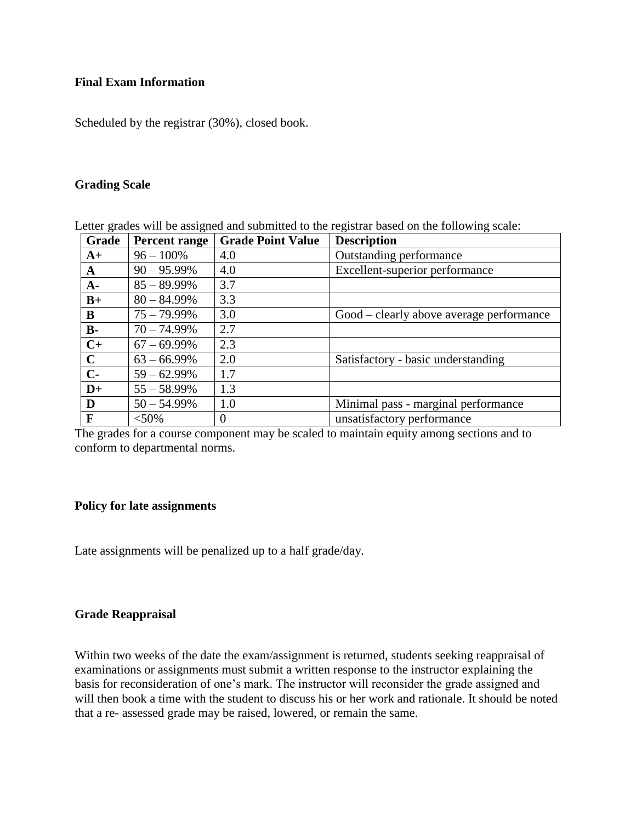# **Final Exam Information**

Scheduled by the registrar (30%), closed book.

## **Grading Scale**

| Grade        | <b>Percent range</b> | <b>Grade Point Value</b> | <b>Description</b>                       |
|--------------|----------------------|--------------------------|------------------------------------------|
| $A+$         | $96 - 100\%$         | 4.0                      | Outstanding performance                  |
| $\mathbf{A}$ | $90 - 95.99\%$       | 4.0                      | Excellent-superior performance           |
| $A -$        | $85 - 89.99\%$       | 3.7                      |                                          |
| $B+$         | $80 - 84.99\%$       | 3.3                      |                                          |
| B            | $75 - 79.99\%$       | 3.0                      | Good – clearly above average performance |
| $B -$        | $70 - 74.99\%$       | 2.7                      |                                          |
| $C+$         | $67 - 69.99\%$       | 2.3                      |                                          |
| $\mathbf C$  | $63 - 66.99\%$       | 2.0                      | Satisfactory - basic understanding       |
| $C-$         | $59 - 62.99\%$       | 1.7                      |                                          |
| $D+$         | $55 - 58.99\%$       | 1.3                      |                                          |
| D            | $50 - 54.99\%$       | 1.0                      | Minimal pass - marginal performance      |
| $\mathbf{F}$ | $<$ 50%              | $\overline{0}$           | unsatisfactory performance               |

Letter grades will be assigned and submitted to the registrar based on the following scale:

The grades for a course component may be scaled to maintain equity among sections and to conform to departmental norms.

## **Policy for late assignments**

Late assignments will be penalized up to a half grade/day.

## **Grade Reappraisal**

Within two weeks of the date the exam/assignment is returned, students seeking reappraisal of examinations or assignments must submit a written response to the instructor explaining the basis for reconsideration of one's mark. The instructor will reconsider the grade assigned and will then book a time with the student to discuss his or her work and rationale. It should be noted that a re- assessed grade may be raised, lowered, or remain the same.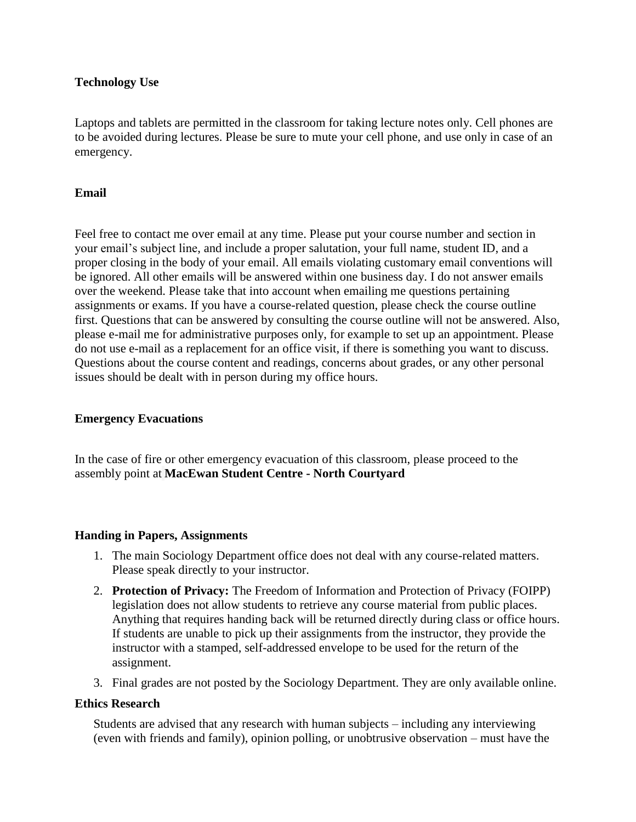# **Technology Use**

Laptops and tablets are permitted in the classroom for taking lecture notes only. Cell phones are to be avoided during lectures. Please be sure to mute your cell phone, and use only in case of an emergency.

# **Email**

Feel free to contact me over email at any time. Please put your course number and section in your email's subject line, and include a proper salutation, your full name, student ID, and a proper closing in the body of your email. All emails violating customary email conventions will be ignored. All other emails will be answered within one business day. I do not answer emails over the weekend. Please take that into account when emailing me questions pertaining assignments or exams. If you have a course-related question, please check the course outline first. Questions that can be answered by consulting the course outline will not be answered. Also, please e-mail me for administrative purposes only, for example to set up an appointment. Please do not use e-mail as a replacement for an office visit, if there is something you want to discuss. Questions about the course content and readings, concerns about grades, or any other personal issues should be dealt with in person during my office hours.

## **Emergency Evacuations**

In the case of fire or other emergency evacuation of this classroom, please proceed to the assembly point at **MacEwan Student Centre - North Courtyard**

## **Handing in Papers, Assignments**

- 1. The main Sociology Department office does not deal with any course-related matters. Please speak directly to your instructor.
- 2. **Protection of Privacy:** The Freedom of Information and Protection of Privacy (FOIPP) legislation does not allow students to retrieve any course material from public places. Anything that requires handing back will be returned directly during class or office hours. If students are unable to pick up their assignments from the instructor, they provide the instructor with a stamped, self-addressed envelope to be used for the return of the assignment.
- 3. Final grades are not posted by the Sociology Department. They are only available online.

## **Ethics Research**

Students are advised that any research with human subjects – including any interviewing (even with friends and family), opinion polling, or unobtrusive observation – must have the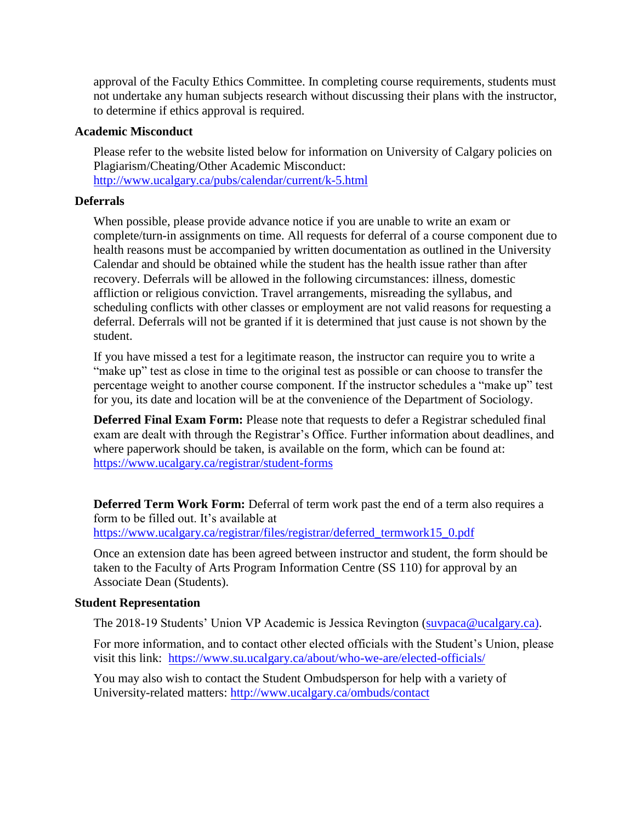approval of the Faculty Ethics Committee. In completing course requirements, students must not undertake any human subjects research without discussing their plans with the instructor, to determine if ethics approval is required.

## **Academic Misconduct**

Please refer to the website listed below for information on University of Calgary policies on Plagiarism/Cheating/Other Academic Misconduct: <http://www.ucalgary.ca/pubs/calendar/current/k-5.html>

# **Deferrals**

When possible, please provide advance notice if you are unable to write an exam or complete/turn-in assignments on time. All requests for deferral of a course component due to health reasons must be accompanied by written documentation as outlined in the University Calendar and should be obtained while the student has the health issue rather than after recovery. Deferrals will be allowed in the following circumstances: illness, domestic affliction or religious conviction. Travel arrangements, misreading the syllabus, and scheduling conflicts with other classes or employment are not valid reasons for requesting a deferral. Deferrals will not be granted if it is determined that just cause is not shown by the student.

If you have missed a test for a legitimate reason, the instructor can require you to write a "make up" test as close in time to the original test as possible or can choose to transfer the percentage weight to another course component. If the instructor schedules a "make up" test for you, its date and location will be at the convenience of the Department of Sociology.

**Deferred Final Exam Form:** Please note that requests to defer a Registrar scheduled final exam are dealt with through the Registrar's Office. Further information about deadlines, and where paperwork should be taken, is available on the form, which can be found at: <https://www.ucalgary.ca/registrar/student-forms>

**Deferred Term Work Form:** Deferral of term work past the end of a term also requires a form to be filled out. It's available at [https://www.ucalgary.ca/registrar/files/registrar/deferred\\_termwork15\\_0.pdf](https://www.ucalgary.ca/registrar/files/registrar/deferred_termwork15_0.pdf) 

Once an extension date has been agreed between instructor and student, the form should be taken to the Faculty of Arts Program Information Centre (SS 110) for approval by an Associate Dean (Students).

#### **Student Representation**

The 2018-19 Students' Union VP Academic is Jessica Revington [\(suvpaca@ucalg](mailto:suvpaca@ucalgary.ca)ary.ca).

For more information, and to contact other elected officials with the Student's Union, please visit this link: <https://www.su.ucalgary.ca/about/who-we-are/elected-officials/>

You may also wish to contact the Student Ombudsperson for help with a variety of University-related matters:<http://www.ucalgary.ca/ombuds/contact>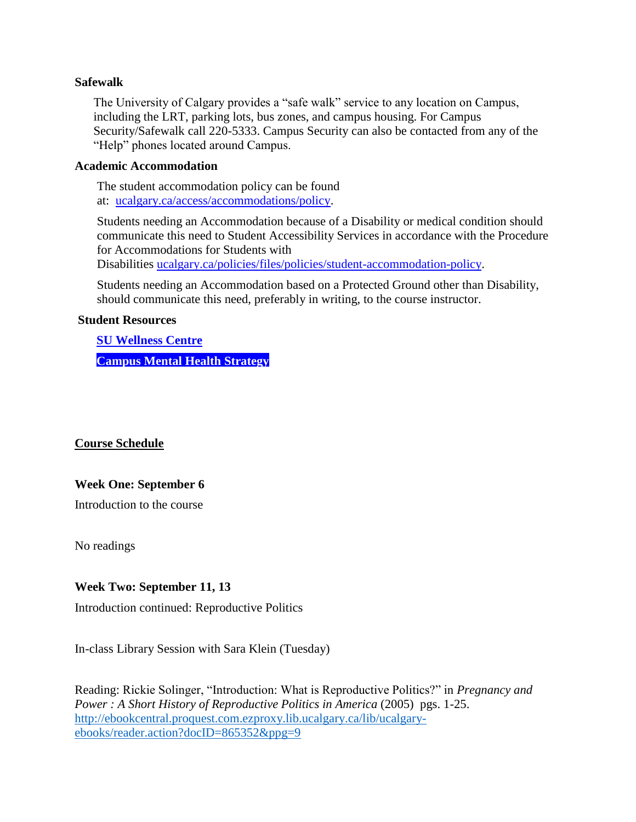### **Safewalk**

The University of Calgary provides a "safe walk" service to any location on Campus, including the LRT, parking lots, bus zones, and campus housing. For Campus Security/Safewalk call 220-5333. Campus Security can also be contacted from any of the "Help" phones located around Campus.

### **Academic Accommodation**

The student accommodation policy can be found at: [ucalgary.ca/access/accommodations/policy.](http://www.ucalgary.ca/access/accommodations/policy)

Students needing an Accommodation because of a Disability or medical condition should communicate this need to Student Accessibility Services in accordance with the Procedure for Accommodations for Students with

Disabilities [ucalgary.ca/policies/files/policies/student-accommodation-policy.](http://www.ucalgary.ca/policies/files/policies/student-accommodation-policy.pdf)

Students needing an Accommodation based on a Protected Ground other than Disability, should communicate this need, preferably in writing, to the course instructor.

## **Student Resources**

**[SU Wellness Centre](http://www.ucalgary.ca/wellnesscentre/) [Campus Mental Health Strategy](https://www.ucalgary.ca/mentalhealth/)**

**Course Schedule** 

# **Week One: September 6**

Introduction to the course

No readings

# **Week Two: September 11, 13**

Introduction continued: Reproductive Politics

In-class Library Session with Sara Klein (Tuesday)

Reading: Rickie Solinger, "Introduction: What is Reproductive Politics?" in *Pregnancy and Power : A Short History of Reproductive Politics in America* (2005) pgs. 1-25. [http://ebookcentral.proquest.com.ezproxy.lib.ucalgary.ca/lib/ucalgary](http://ebookcentral.proquest.com.ezproxy.lib.ucalgary.ca/lib/ucalgary-ebooks/reader.action?docID=865352&ppg=9)[ebooks/reader.action?docID=865352&ppg=9](http://ebookcentral.proquest.com.ezproxy.lib.ucalgary.ca/lib/ucalgary-ebooks/reader.action?docID=865352&ppg=9)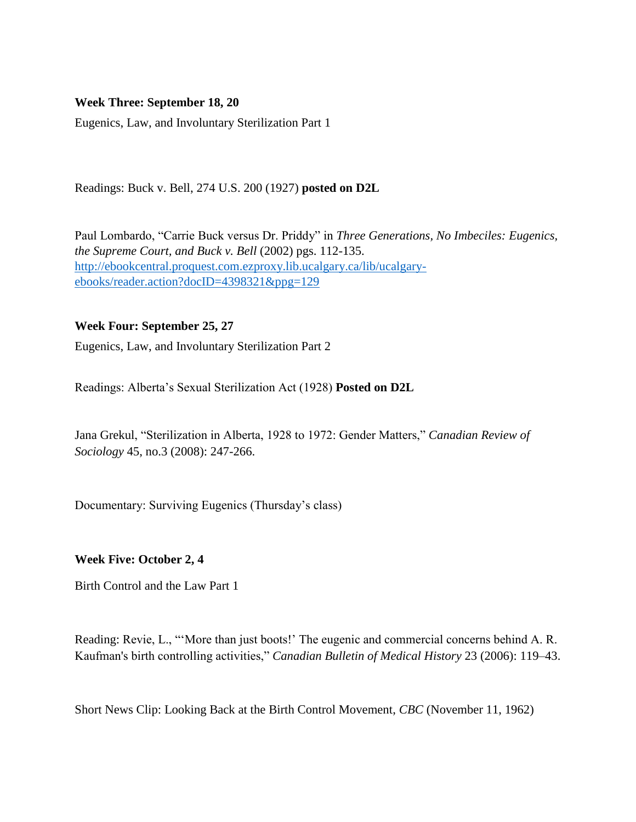# **Week Three: September 18, 20**

Eugenics, Law, and Involuntary Sterilization Part 1

Readings: Buck v. Bell, 274 U.S. 200 (1927) **posted on D2L**

Paul Lombardo, "Carrie Buck versus Dr. Priddy" in *Three Generations, No Imbeciles: Eugenics, the Supreme Court, and Buck v. Bell* (2002) pgs. 112-135. [http://ebookcentral.proquest.com.ezproxy.lib.ucalgary.ca/lib/ucalgary](http://ebookcentral.proquest.com.ezproxy.lib.ucalgary.ca/lib/ucalgary-ebooks/reader.action?docID=4398321&ppg=129)[ebooks/reader.action?docID=4398321&ppg=129](http://ebookcentral.proquest.com.ezproxy.lib.ucalgary.ca/lib/ucalgary-ebooks/reader.action?docID=4398321&ppg=129)

# **Week Four: September 25, 27**

Eugenics, Law, and Involuntary Sterilization Part 2

Readings: Alberta's Sexual Sterilization Act (1928) **Posted on D2L**

Jana Grekul, "Sterilization in Alberta, 1928 to 1972: Gender Matters," *Canadian Review of Sociology* 45, no.3 (2008): 247-266.

Documentary: Surviving Eugenics (Thursday's class)

## **Week Five: October 2, 4**

Birth Control and the Law Part 1

Reading: Revie, L., "'More than just boots!' The eugenic and commercial concerns behind A. R. Kaufman's birth controlling activities," *Canadian Bulletin of Medical History* 23 (2006): 119–43.

Short News Clip: Looking Back at the Birth Control Movement, *CBC* (November 11, 1962)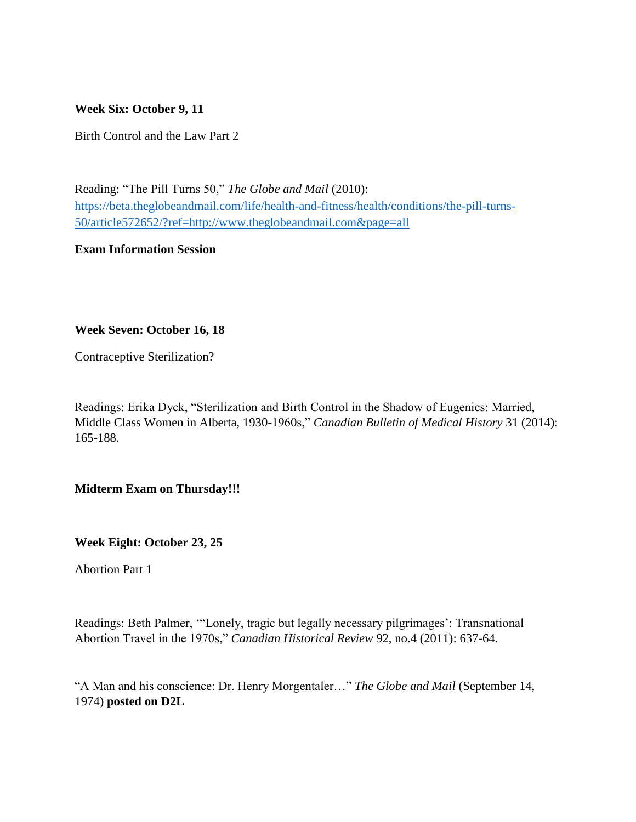**Week Six: October 9, 11**

Birth Control and the Law Part 2

Reading: "The Pill Turns 50," *The Globe and Mail* (2010): [https://beta.theglobeandmail.com/life/health-and-fitness/health/conditions/the-pill-turns-](https://beta.theglobeandmail.com/life/health-and-fitness/health/conditions/the-pill-turns-50/article572652/?ref=http://www.theglobeandmail.com&page=all)[50/article572652/?ref=http://www.theglobeandmail.com&page=all](https://beta.theglobeandmail.com/life/health-and-fitness/health/conditions/the-pill-turns-50/article572652/?ref=http://www.theglobeandmail.com&page=all)

**Exam Information Session**

# **Week Seven: October 16, 18**

Contraceptive Sterilization?

Readings: Erika Dyck, "Sterilization and Birth Control in the Shadow of Eugenics: Married, Middle Class Women in Alberta, 1930-1960s," *Canadian Bulletin of Medical History* 31 (2014): 165-188.

**Midterm Exam on Thursday!!!**

**Week Eight: October 23, 25**

Abortion Part 1

Readings: Beth Palmer, '"Lonely, tragic but legally necessary pilgrimages': Transnational Abortion Travel in the 1970s," *Canadian Historical Review* 92, no.4 (2011): 637-64.

"A Man and his conscience: Dr. Henry Morgentaler…" *The Globe and Mail* (September 14, 1974) **posted on D2L**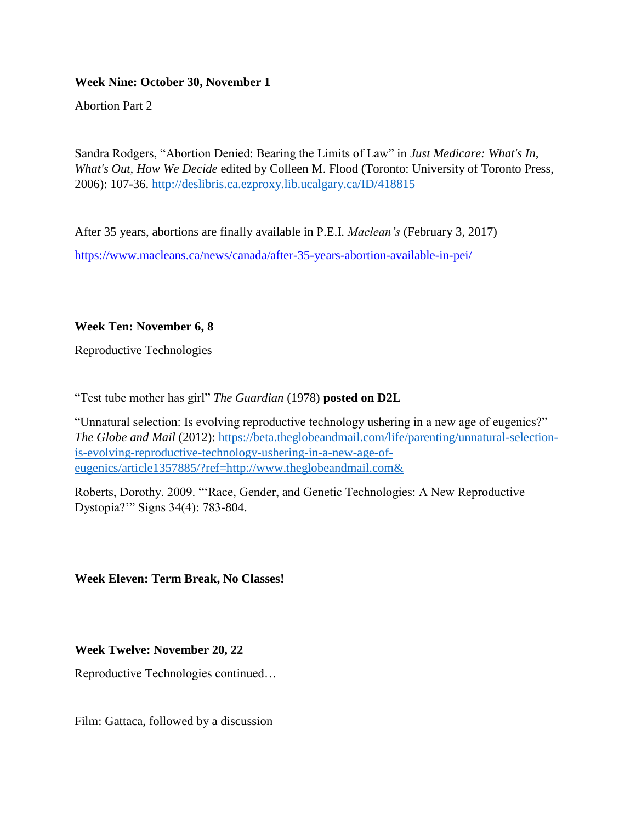# **Week Nine: October 30, November 1**

Abortion Part 2

Sandra Rodgers, "Abortion Denied: Bearing the Limits of Law" in *Just Medicare: What's In, What's Out, How We Decide* edited by Colleen M. Flood (Toronto: University of Toronto Press, 2006): 107-36.<http://deslibris.ca.ezproxy.lib.ucalgary.ca/ID/418815>

After 35 years, abortions are finally available in P.E.I. *Maclean's* (February 3, 2017) <https://www.macleans.ca/news/canada/after-35-years-abortion-available-in-pei/>

# **Week Ten: November 6, 8**

Reproductive Technologies

"Test tube mother has girl" *The Guardian* (1978) **posted on D2L**

"Unnatural selection: Is evolving reproductive technology ushering in a new age of eugenics?" *The Globe and Mail* (2012): [https://beta.theglobeandmail.com/life/parenting/unnatural-selection](https://beta.theglobeandmail.com/life/parenting/unnatural-selection-is-evolving-reproductive-technology-ushering-in-a-new-age-of-eugenics/article1357885/?ref=http://www.theglobeandmail.com&)[is-evolving-reproductive-technology-ushering-in-a-new-age-of](https://beta.theglobeandmail.com/life/parenting/unnatural-selection-is-evolving-reproductive-technology-ushering-in-a-new-age-of-eugenics/article1357885/?ref=http://www.theglobeandmail.com&)[eugenics/article1357885/?ref=http://www.theglobeandmail.com&](https://beta.theglobeandmail.com/life/parenting/unnatural-selection-is-evolving-reproductive-technology-ushering-in-a-new-age-of-eugenics/article1357885/?ref=http://www.theglobeandmail.com&)

Roberts, Dorothy. 2009. "'Race, Gender, and Genetic Technologies: A New Reproductive Dystopia?'" Signs 34(4): 783-804.

**Week Eleven: Term Break, No Classes!**

**Week Twelve: November 20, 22**

Reproductive Technologies continued…

Film: Gattaca, followed by a discussion